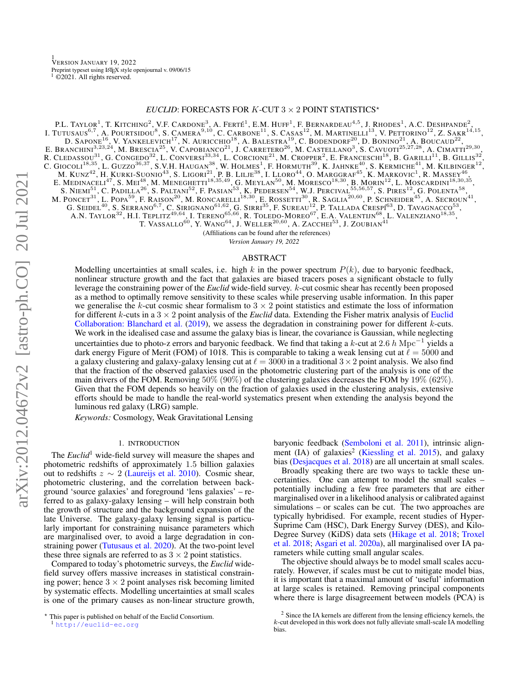# *EUCLID*: FORECASTS FOR  $K$ -CUT  $3 \times 2$  POINT STATISTICS\*

<span id="page-0-0"></span>P.L. TAYLOR<sup>1</sup>, T. KITCHING<sup>2</sup>, V.F. CARDONE<sup>3</sup>, A. FERTÉ<sup>1</sup>, E.M. HUFF<sup>1</sup>, F. BERNARDEAU<sup>4,5</sup>, J. RHODES<sup>1</sup>, A.C. DESHPANDE<sup>2</sup>,<br>
I. TUTUSAUS<sup>6,7</sup>, A. PUNCTSIDOU<sup>8</sup>, S. CAMERA<sup>9,10</sup>, C. CARBONE<sup>11</sup>, S. CASAS<sup>12</sup>, M. MARTI

(Affiliations can be found after the references)

*Version January 19, 2022*

## ABSTRACT

Modelling uncertainties at small scales, i.e. high k in the power spectrum  $P(k)$ , due to baryonic feedback, nonlinear structure growth and the fact that galaxies are biased tracers poses a significant obstacle to fully leverage the constraining power of the *Euclid* wide-field survey. k-cut cosmic shear has recently been proposed as a method to optimally remove sensitivity to these scales while preserving usable information. In this paper we generalise the k-cut cosmic shear formalism to  $3 \times 2$  point statistics and estimate the loss of information for different k-cuts in a  $3 \times 2$  point analysis of the *[Euclid](#page-7-0)* data. Extending the Fisher matrix analysis of Euclid [Collaboration: Blanchard et al.](#page-7-0) [\(2019\)](#page-7-0), we assess the degradation in constraining power for different  $k$ -cuts. We work in the idealised case and assume the galaxy bias is linear, the covariance is Gaussian, while neglecting uncertainties due to photo-z errors and baryonic feedback. We find that taking a k-cut at 2.6 h Mpc<sup>-1</sup> yields a dark energy Figure of Merit (FOM) of 1018. This is comparable to taking a weak lensing cut at  $\ell = 5000$  and a galaxy clustering and galaxy-galaxy lensing cut at  $\ell = 3000$  in a traditional  $3 \times 2$  point analysis. We also find that the fraction of the observed galaxies used in the photometric clustering part of the analysis is one of the main drivers of the FOM. Removing  $50\%$  ( $90\%$ ) of the clustering galaxies decreases the FOM by  $19\%$  ( $62\%$ ). Given that the FOM depends so heavily on the fraction of galaxies used in the clustering analysis, extensive efforts should be made to handle the real-world systematics present when extending the analysis beyond the luminous red galaxy (LRG) sample.

*Keywords:* Cosmology, Weak Gravitational Lensing

## 1. INTRODUCTION

The *Euclid*<sup>1</sup> wide-field survey will measure the shapes and photometric redshifts of approximately 1.5 billion galaxies out to redshifts  $z \sim 2$  [\(Laureijs et al.](#page-7-1) [2010\)](#page-7-1). Cosmic shear, photometric clustering, and the correlation between background 'source galaxies' and foreground 'lens galaxies' – referred to as galaxy-galaxy lensing – will help constrain both the growth of structure and the background expansion of the late Universe. The galaxy-galaxy lensing signal is particularly important for constraining nuisance parameters which are marginalised over, to avoid a large degradation in constraining power [\(Tutusaus et al.](#page-8-0) [2020\)](#page-8-0). At the two-point level these three signals are referred to as  $3 \times 2$  point statistics.

Compared to today's photometric surveys, the *Euclid* widefield survey offers massive increases in statistical constraining power; hence  $3 \times 2$  point analyses risk becoming limited by systematic effects. Modelling uncertainties at small scales is one of the primary causes as non-linear structure growth,

baryonic feedback [\(Semboloni et al.](#page-7-2) [2011\)](#page-7-2), intrinsic align-ment (IA) of galaxies<sup>2</sup> [\(Kiessling et al.](#page-7-3) [2015\)](#page-7-3), and galaxy bias [\(Desjacques et al.](#page-7-4) [2018\)](#page-7-4) are all uncertain at small scales.

Broadly speaking there are two ways to tackle these uncertainties. One can attempt to model the small scales – potentially including a few free parameters that are either marginalised over in a likelihood analysis or calibrated against simulations – or scales can be cut. The two approaches are typically hybridised. For example, recent studies of Hyper-Suprime Cam (HSC), Dark Energy Survey (DES), and Kilo-Degree Survey (KiDS) data sets [\(Hikage et al.](#page-7-5) [2018;](#page-7-5) [Troxel](#page-8-1) [et al.](#page-8-1) [2018;](#page-8-1) [Asgari et al.](#page-7-6) [2020a\)](#page-7-6), all marginalised over IA parameters while cutting small angular scales.

The objective should always be to model small scales accurately. However, if scales must be cut to mitigate model bias, it is important that a maximal amount of 'useful' information at large scales is retained. Removing principal components where there is large disagreement between models (PCA) is

<sup>?</sup> This paper is published on behalf of the Euclid Consortium. <sup>1</sup> <http://euclid-ec.org>

<sup>&</sup>lt;sup>2</sup> Since the IA kernels are different from the lensing efficiency kernels, the k-cut developed in this work does not fully alleviate small-scale IA modelling bias.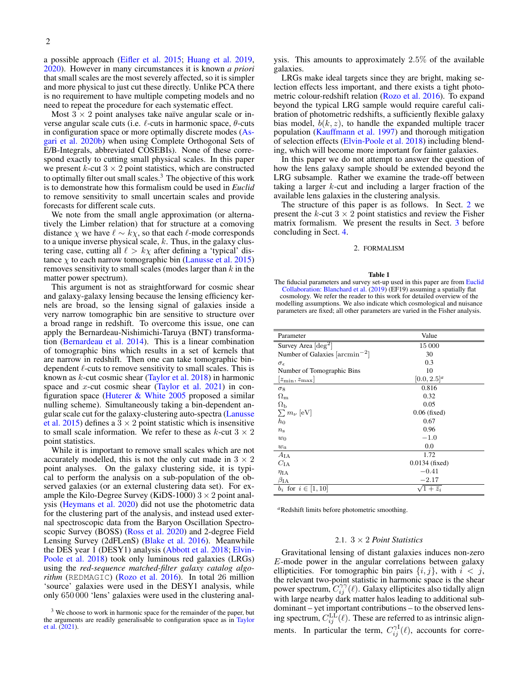a possible approach [\(Eifler et al.](#page-7-7) [2015;](#page-7-7) [Huang et al.](#page-7-8) [2019,](#page-7-8) [2020\)](#page-7-9). However in many circumstances it is known *a priori* that small scales are the most severely affected, so it is simpler and more physical to just cut these directly. Unlike PCA there is no requirement to have multiple competing models and no need to repeat the procedure for each systematic effect.

Most  $3 \times 2$  point analyses take naïve angular scale or inverse angular scale cuts (i.e.  $\ell$ -cuts in harmonic space,  $\theta$ -cuts in configuration space or more optimally discrete modes [\(As](#page-7-10)[gari et al.](#page-7-10) [2020b\)](#page-7-10) when using Complete Orthogonal Sets of E/B-Integrals, abbreviated COSEBIs). None of these correspond exactly to cutting small physical scales. In this paper we present  $k$ -cut  $3 \times 2$  point statistics, which are constructed to optimally filter out small scales.<sup>3</sup> The objective of this work is to demonstrate how this formalism could be used in *Euclid* to remove sensitivity to small uncertain scales and provide forecasts for different scale cuts.

We note from the small angle approximation (or alternatively the Limber relation) that for structure at a comoving distance  $\chi$  we have  $\ell \sim k\chi$ , so that each  $\ell$ -mode corresponds to a unique inverse physical scale,  $k$ . Thus, in the galaxy clustering case, cutting all  $\ell > k\chi$  after defining a 'typical' distance  $\chi$  to each narrow tomographic bin [\(Lanusse et al.](#page-7-11) [2015\)](#page-7-11) removes sensitivity to small scales (modes larger than  $k$  in the matter power spectrum).

This argument is not as straightforward for cosmic shear and galaxy-galaxy lensing because the lensing efficiency kernels are broad, so the lensing signal of galaxies inside a very narrow tomographic bin are sensitive to structure over a broad range in redshift. To overcome this issue, one can apply the Bernardeau-Nishimichi-Taruya (BNT) transformation [\(Bernardeau et al.](#page-7-12) [2014\)](#page-7-12). This is a linear combination of tomographic bins which results in a set of kernels that are narrow in redshift. Then one can take tomographic bindependent  $\ell$ -cuts to remove sensitivity to small scales. This is known as  $k$ -cut cosmic shear [\(Taylor et al.](#page-8-2) [2018\)](#page-8-2) in harmonic space and x-cut cosmic shear [\(Taylor et al.](#page-8-3) [2021\)](#page-8-3) in configuration space (Huterer  $\&$  White [2005](#page-7-13) proposed a similar nulling scheme). Simultaneously taking a bin-dependent angular scale cut for the galaxy-clustering auto-spectra [\(Lanusse](#page-7-11) [et al.](#page-7-11) [2015\)](#page-7-11) defines a  $3 \times 2$  point statistic which is insensitive to small scale information. We refer to these as  $k$ -cut  $3 \times 2$ point statistics.

While it is important to remove small scales which are not accurately modelled, this is not the only cut made in  $3 \times 2$ point analyses. On the galaxy clustering side, it is typical to perform the analysis on a sub-population of the observed galaxies (or an external clustering data set). For example the Kilo-Degree Survey (KiDS-1000)  $3 \times 2$  point analysis [\(Heymans et al.](#page-7-14) [2020\)](#page-7-14) did not use the photometric data for the clustering part of the analysis, and instead used external spectroscopic data from the Baryon Oscillation Spectro-scopic Survey (BOSS) [\(Ross et al.](#page-7-15) [2020\)](#page-7-15) and 2-degree Field Lensing Survey (2dFLenS) [\(Blake et al.](#page-7-16) [2016\)](#page-7-16). Meanwhile the DES year 1 (DESY1) analysis [\(Abbott et al.](#page-7-17) [2018;](#page-7-17) [Elvin-](#page-7-18)[Poole et al.](#page-7-18) [2018\)](#page-7-18) took only luminous red galaxies (LRGs) using the *red-sequence matched-filter galaxy catalog algorithm* (REDMAGIC) [\(Rozo et al.](#page-7-19) [2016\)](#page-7-19). In total 26 million 'source' galaxies were used in the DESY1 analysis, while only 650 000 'lens' galaxies were used in the clustering analysis. This amounts to approximately 2.5% of the available galaxies.

LRGs make ideal targets since they are bright, making selection effects less important, and there exists a tight photometric colour-redshift relation [\(Rozo et al.](#page-7-19) [2016\)](#page-7-19). To expand beyond the typical LRG sample would require careful calibration of photometric redshifts, a sufficiently flexible galaxy bias model,  $b(k, z)$ , to handle the expanded multiple tracer population [\(Kauffmann et al.](#page-7-20) [1997\)](#page-7-20) and thorough mitigation of selection effects [\(Elvin-Poole et al.](#page-7-18) [2018\)](#page-7-18) including blending, which will become more important for fainter galaxies.

In this paper we do not attempt to answer the question of how the lens galaxy sample should be extended beyond the LRG subsample. Rather we examine the trade-off between taking a larger  $k$ -cut and including a larger fraction of the available lens galaxies in the clustering analysis.

The structure of this paper is as follows. In Sect. [2](#page-1-0) we present the k-cut  $3 \times 2$  point statistics and review the Fisher matrix formalism. We present the results in Sect. [3](#page-4-0) before concluding in Sect. [4.](#page-6-0)

## 2. FORMALISM

#### Table 1

<span id="page-1-1"></span><span id="page-1-0"></span>The fiducial parameters and survey set-up used in this paper are from [Euclid](#page-7-0) [Collaboration: Blanchard et al.](#page-7-0) [\(2019\)](#page-7-0) (EF19) assuming a spatially flat cosmology. We refer the reader to this work for detailed overview of the modelling assumptions. We also indicate which cosmological and nuisance parameters are fixed; all other parameters are varied in the Fisher analysis.

| Parameter                          | Value                |  |  |
|------------------------------------|----------------------|--|--|
| Survey Area $\lceil \deg^2 \rceil$ | 15 000               |  |  |
| Number of Galaxies $\arctan^{-2}$  | 30                   |  |  |
| $\sigma_{\epsilon}$                | 0.3                  |  |  |
| Number of Tomographic Bins         | 10                   |  |  |
| $ z_{\min}, z_{\max} $             | $[0.0, 2.5]^a$       |  |  |
| $\sigma_8$                         | 0.816                |  |  |
| $\Omega_{\rm m}$                   | 0.32                 |  |  |
| $\Omega_{\rm b}$                   | 0.05                 |  |  |
| $\sum m_{\nu}$ [eV]                | $0.06$ (fixed)       |  |  |
| $h_0$                              | 0.67                 |  |  |
| $n_{\rm s}$                        | 0.96                 |  |  |
| $w_0$                              | $-1.0$               |  |  |
| $w_a$                              | 0.0                  |  |  |
| $A_{\text{IA}}$                    | 1.72                 |  |  |
| $C_{IA}$                           | $0.0134$ (fixed)     |  |  |
| $\eta_{\mathrm{IA}}$               | $-0.41$              |  |  |
| $\beta_{\mathrm{IA}}$              | $-2.17$              |  |  |
| $b_i$ for $i \in [1, 10]$          | $\sqrt{1+\bar{z}_i}$ |  |  |

*<sup>a</sup>*Redshift limits before photometric smoothing.

# 2.1. 3 × 2 *Point Statistics*

Gravitational lensing of distant galaxies induces non-zero E-mode power in the angular correlations between galaxy ellipticities. For tomographic bin pairs  $\{i, j\}$ , with  $i < j$ , the relevant two-point statistic in harmonic space is the shear power spectrum,  $C_{ij}^{\gamma\gamma}(\ell)$ . Galaxy ellipticites also tidally align with large nearby dark matter halos leading to additional subdominant – yet important contributions – to the observed lensing spectrum,  $C_{ij}^{\text{LL}}(\ell)$ . These are referred to as intrinsic alignments. In particular the term,  $C_{ij}^{\gamma}(\ell)$ , accounts for corre-

<sup>&</sup>lt;sup>3</sup> We choose to work in harmonic space for the remainder of the paper, but the arguments are readily generalisable to configuration space as in [Taylor](#page-8-3) [et al.](#page-8-3) [\(2021\)](#page-8-3).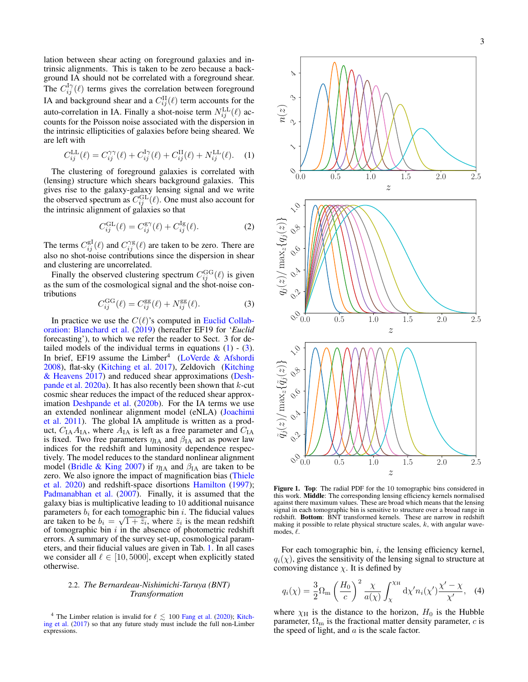lation between shear acting on foreground galaxies and intrinsic alignments. This is taken to be zero because a background IA should not be correlated with a foreground shear. The  $C_{ij}^{I\gamma}(\ell)$  terms gives the correlation between foreground IA and background shear and a  $C_{ij}^{\text{II}}(\ell)$  term accounts for the auto-correlation in IA. Finally a shot-noise term  $N^{\text{LL}}_{ij}(\ell)$  accounts for the Poisson noise associated with the dispersion in the intrinsic ellipticities of galaxies before being sheared. We are left with

<span id="page-2-0"></span>
$$
C_{ij}^{\text{LL}}(\ell) = C_{ij}^{\gamma \gamma}(\ell) + C_{ij}^{\text{I}\gamma}(\ell) + C_{ij}^{\text{II}}(\ell) + N_{ij}^{\text{LL}}(\ell). \tag{1}
$$

The clustering of foreground galaxies is correlated with (lensing) structure which shears background galaxies. This gives rise to the galaxy-galaxy lensing signal and we write the observed spectrum as  $C_{ij}^{\text{GL}}(\ell)$ . One must also account for the intrinsic alignment of galaxies so that

$$
C_{ij}^{\text{GL}}(\ell) = C_{ij}^{\text{gy}}(\ell) + C_{ij}^{\text{Ig}}(\ell). \tag{2}
$$

The terms  $C_{ij}^{\text{gI}}(\ell)$  and  $C_{ij}^{\gamma \text{g}}(\ell)$  are taken to be zero. There are also no shot-noise contributions since the dispersion in shear and clustering are uncorrelated.

Finally the observed clustering spectrum  $C_{ij}^{\text{GG}}(\ell)$  is given as the sum of the cosmological signal and the shot-noise contributions

<span id="page-2-1"></span>
$$
C_{ij}^{\text{GG}}(\ell) = C_{ij}^{\text{gg}}(\ell) + N_{ij}^{\text{gg}}(\ell). \tag{3}
$$

In practice we use the  $C(\ell)$ 's computed in [Euclid Collab](#page-7-0)[oration: Blanchard et al.](#page-7-0) [\(2019\)](#page-7-0) (hereafter EF19 for '*Euclid* forecasting'), to which we refer the reader to Sect. 3 for detailed models of the individual terms in equations  $(1) - (3)$  $(1) - (3)$  $(1) - (3)$ . In brief, EF19 assume the  $Limber<sup>4</sup>$  [\(LoVerde & Afshordi](#page-7-21) [2008\)](#page-7-21), flat-sky [\(Kitching et al.](#page-7-22) [2017\)](#page-7-22), Zeldovich [\(Kitching](#page-7-23) [& Heavens](#page-7-23) [2017\)](#page-7-23) and reduced shear approximations [\(Desh](#page-7-24)[pande et al.](#page-7-24)  $2020a$ ). It has also recently been shown that k-cut cosmic shear reduces the impact of the reduced shear approx-imation [Deshpande et al.](#page-7-25) [\(2020b\)](#page-7-25). For the IA terms we use an extended nonlinear alignment model (eNLA) [\(Joachimi](#page-7-26) [et al.](#page-7-26) [2011\)](#page-7-26). The global IA amplitude is written as a product,  $C_{IA}A_{IA}$ , where  $A_{IA}$  is left as a free parameter and  $C_{IA}$ is fixed. Two free parameters  $\eta_{IA}$  and  $\beta_{IA}$  act as power law indices for the redshift and luminosity dependence respectively. The model reduces to the standard nonlinear alignment model [\(Bridle & King](#page-7-27) [2007\)](#page-7-27) if  $\eta_{IA}$  and  $\beta_{IA}$  are taken to be zero. We also ignore the impact of magnification bias [\(Thiele](#page-8-4) [et al.](#page-8-4) [2020\)](#page-8-4) and redshift-space disortions [Hamilton](#page-7-28) [\(1997\)](#page-7-28); [Padmanabhan et al.](#page-7-29) [\(2007\)](#page-7-29). Finally, it is assumed that the galaxy bias is multiplicative leading to 10 additional nuisance parameters  $b_i$  for each tomographic bin i. The fiducial values are taken to be  $b_i = \sqrt{1 + \bar{z}_i}$ , where  $\bar{z}_i$  is the mean redshift of tomographic bin  $i$  in the absence of photometric redshift errors. A summary of the survey set-up, cosmological parameters, and their fiducial values are given in Tab. [1.](#page-1-1) In all cases we consider all  $\ell \in [10, 5000]$ , except when explicitly stated otherwise.

# 2.2. *The Bernardeau-Nishimichi-Taruya (BNT) Transformation*

<sup>4</sup> The Limber relation is invalid for  $\ell \leq 100$  [Fang et al.](#page-7-30) [\(2020\)](#page-7-30); [Kitch](#page-7-22)[ing et al.](#page-7-22) [\(2017\)](#page-7-22) so that any future study must include the full non-Limber expressions.



<span id="page-2-2"></span>Figure 1. Top: The radial PDF for the 10 tomographic bins considered in this work. Middle: The corresponding lensing efficiency kernels normalised against there maximum values. These are broad which means that the lensing signal in each tomographic bin is sensitive to structure over a broad range in redshift. Bottom: BNT transformed kernels. These are narrow in redshift making it possible to relate physical structure scales, k, with angular wavemodes,  $\ell$ .

For each tomographic bin,  $i$ , the lensing efficiency kernel,  $q_i(\chi)$ , gives the sensitivity of the lensing signal to structure at comoving distance  $\chi$ . It is defined by

$$
q_i(\chi) = \frac{3}{2} \Omega_{\rm m} \left(\frac{H_0}{c}\right)^2 \frac{\chi}{a(\chi)} \int_{\chi}^{\chi_{\rm H}} d\chi' n_i(\chi') \frac{\chi' - \chi}{\chi'}, \quad (4)
$$

where  $\chi$ <sup>H</sup> is the distance to the horizon,  $H_0$  is the Hubble parameter,  $\Omega_{\rm m}$  is the fractional matter density parameter, c is the speed of light, and  $\alpha$  is the scale factor.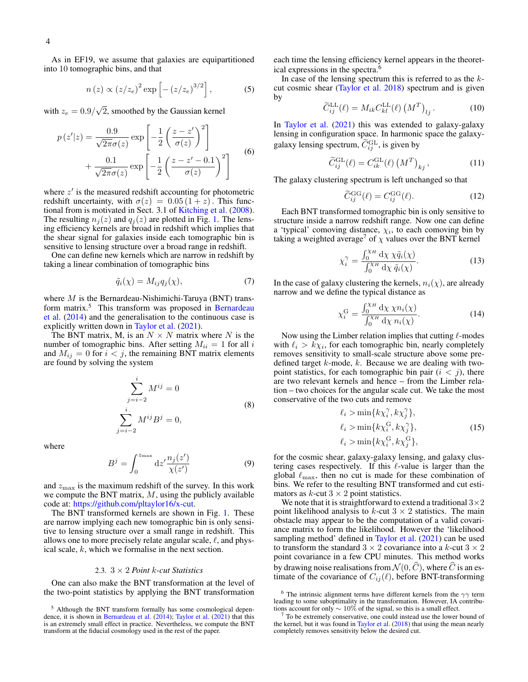As in EF19, we assume that galaxies are equipartitioned into 10 tomographic bins, and that

$$
n(z) \propto (z/z_e)^2 \exp\left[-\left(z/z_e\right)^{3/2}\right],\tag{5}
$$

with  $z_e = 0.9/\sqrt{2}$ , smoothed by the Gaussian kernel

$$
p(z'|z) = \frac{0.9}{\sqrt{2\pi}\sigma(z)} \exp\left[-\frac{1}{2}\left(\frac{z-z'}{\sigma(z)}\right)^2\right] + \frac{0.1}{\sqrt{2\pi}\sigma(z)} \exp\left[-\frac{1}{2}\left(\frac{z-z'-0.1}{\sigma(z)}\right)^2\right]
$$
(6)

where  $z'$  is the measured redshift accounting for photometric redshift uncertainty, with  $\sigma(z) = 0.05(1+z)$ . This functional from is motivated in Sect. 3.1 of [Kitching et al.](#page-7-31) [\(2008\)](#page-7-31). The resulting  $n_j(z)$  and  $q_j(z)$  are plotted in Fig. [1.](#page-2-2) The lensing efficiency kernels are broad in redshift which implies that the shear signal for galaxies inside each tomographic bin is sensitive to lensing structure over a broad range in redshift.

One can define new kernels which are narrow in redshift by taking a linear combination of tomographic bins

$$
\tilde{q}_i(\chi) = M_{ij} q_j(\chi),\tag{7}
$$

where  $M$  is the Bernardeau-Nishimichi-Taruya (BNT) trans-form matrix.<sup>5</sup> This transform was proposed in [Bernardeau](#page-7-12) [et al.](#page-7-12) [\(2014\)](#page-7-12) and the generalisation to the continuous case is explicitly written down in [Taylor et al.](#page-8-3) [\(2021\)](#page-8-3).

The BNT matrix, M, is an  $N \times N$  matrix where N is the number of tomographic bins. After setting  $M_{ii} = 1$  for all i and  $M_{ij} = 0$  for  $i < j$ , the remaining BNT matrix elements are found by solving the system

$$
\sum_{j=i-2}^{i} M^{ij} = 0
$$
  

$$
\sum_{j=i-2}^{i} M^{ij} B^{j} = 0,
$$
 (8)

where

$$
B^j = \int_0^{z_{\text{max}}} \mathrm{d}z' \frac{n_j(z')}{\chi(z')}
$$
 (9)

and  $z_{\text{max}}$  is the maximum redshift of the survey. In this work we compute the BNT matrix,  $M$ , using the publicly available code at: [https://github.com/pltaylor16/x-cut.](#page-0-0)

The BNT transformed kernels are shown in Fig. [1.](#page-2-2) These are narrow implying each new tomographic bin is only sensitive to lensing structure over a small range in redshift. This allows one to more precisely relate angular scale,  $\ell$ , and physical scale, k, which we formalise in the next section.

## 2.3. 3 × 2 *Point* k*-cut Statistics*

<span id="page-3-0"></span>One can also make the BNT transformation at the level of the two-point statistics by applying the BNT transformation each time the lensing efficiency kernel appears in the theoretical expressions in the spectra.<sup>6</sup>

In case of the lensing spectrum this is referred to as the  $k$ cut cosmic shear [\(Taylor et al.](#page-8-2) [2018\)](#page-8-2) spectrum and is given by

$$
\widetilde{C}_{ij}^{\text{LL}}(\ell) = M_{ik} C_{kl}^{\text{LL}}(\ell) \left( M^T \right)_{lj}.
$$
 (10)

In [Taylor et al.](#page-8-3) [\(2021\)](#page-8-3) this was extended to galaxy-galaxy lensing in configuration space. In harmonic space the galaxygalaxy lensing spectrum,  $\tilde{C}_{ij}^{\text{GL}}$ , is given by

$$
\widetilde{C}_{ij}^{\text{GL}}(\ell) = C_{ik}^{\text{GL}}(\ell) \left( M^T \right)_{kj},\tag{11}
$$

The galaxy clustering spectrum is left unchanged so that

$$
\widetilde{C}_{ij}^{\text{GG}}(\ell) = C_{ij}^{\text{GG}}(\ell). \tag{12}
$$

Each BNT transformed tomographic bin is only sensitive to structure inside a narrow redshift range. Now one can define a 'typical' comoving distance,  $\chi_i$ , to each comoving bin by taking a weighted average<sup>7</sup> of  $\chi$  values over the BNT kernel

$$
\chi_i^{\gamma} = \frac{\int_0^{\chi_H} d\chi \, \chi \tilde{q}_i(\chi)}{\int_0^{\chi_H} d\chi \, \tilde{q}_i(\chi)}.
$$
 (13)

In the case of galaxy clustering the kernels,  $n_i(\chi)$ , are already narrow and we define the typical distance as

$$
\chi_i^{\mathcal{G}} = \frac{\int_0^{\chi_H} d\chi \,\chi n_i(\chi)}{\int_0^{\chi_H} d\chi \, n_i(\chi)}.
$$
\n(14)

Now using the Limber relation implies that cutting  $\ell$ -modes with  $\ell_i > k \chi_i$ , for each tomographic bin, nearly completely removes sensitivity to small-scale structure above some predefined target  $k$ -mode,  $k$ . Because we are dealing with twopoint statistics, for each tomographic bin pair  $(i < j)$ , there are two relevant kernels and hence – from the Limber relation – two choices for the angular scale cut. We take the most conservative of the two cuts and remove

$$
\ell_i > \min\{k\chi_i^{\gamma}, k\chi_j^{\gamma}\},
$$
  
\n
$$
\ell_i > \min\{k\chi_i^{\rm G}, k\chi_j^{\gamma}\},
$$
  
\n
$$
\ell_i > \min\{k\chi_i^{\rm G}, k\chi_j^{\rm G}\},
$$
\n(15)

for the cosmic shear, galaxy-galaxy lensing, and galaxy clustering cases respectively. If this  $\ell$ -value is larger than the global  $\ell_{\rm max}$ , then no cut is made for these combination of bins. We refer to the resulting BNT transformed and cut estimators as  $k$ -cut  $3 \times 2$  point statistics.

We note that it is straightforward to extend a traditional  $3\times 2$ point likelihood analysis to  $k$ -cut  $3 \times 2$  statistics. The main obstacle may appear to be the computation of a valid covariance matrix to form the likelihood. However the 'likelihood sampling method' defined in [Taylor et al.](#page-8-3) [\(2021\)](#page-8-3) can be used to transform the standard  $3 \times 2$  covariance into a k-cut  $3 \times 2$ point covariance in a few CPU minutes. This method works by drawing noise realisations from  $\mathcal{N}(0, \widehat{C})$ , where  $\widehat{C}$  is an estimate of the covariance of  $C_{ij}(\ell)$ , before BNT-transforming

<sup>5</sup> Although the BNT transform formally has some cosmological dependence, it is shown in [Bernardeau et al.](#page-7-12) [\(2014\)](#page-7-12); [Taylor et al.](#page-8-3) [\(2021\)](#page-8-3) that this is an extremely small effect in practice. Nevertheless, we compute the BNT transform at the fiducial cosmology used in the rest of the paper.

<sup>&</sup>lt;sup>6</sup> The intrinsic alignment terms have different kernels from the  $\gamma\gamma$  term leading to some suboptimality in the transformation. However, IA contributions account for only  $\sim 10\%$  of the signal, so this is a small effect.

<sup>7</sup> To be extremely conservative, one could instead use the lower bound of the kernel, but it was found in [Taylor et al.](#page-8-2) [\(2018\)](#page-8-2) that using the mean nearly completely removes sensitivity below the desired cut.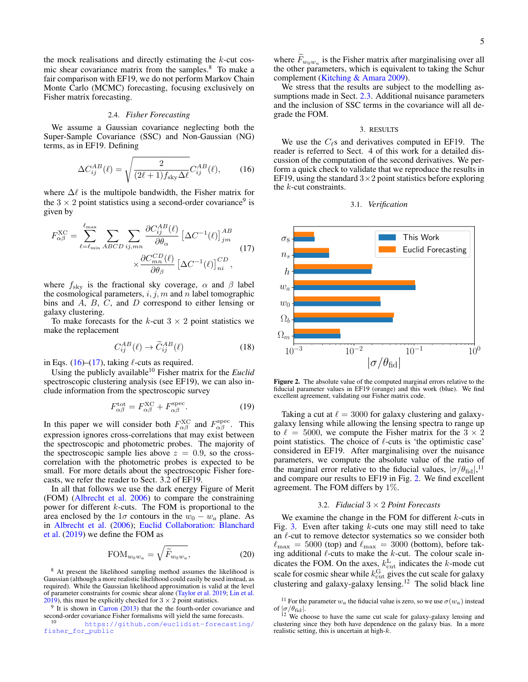the mock realisations and directly estimating the  $k$ -cut cosmic shear covariance matrix from the samples.<sup>8</sup> To make a fair comparison with EF19, we do not perform Markov Chain Monte Carlo (MCMC) forecasting, focusing exclusively on Fisher matrix forecasting.

## 2.4. *Fisher Forecasting*

We assume a Gaussian covariance neglecting both the Super-Sample Covariance (SSC) and Non-Gaussian (NG) terms, as in EF19. Defining

<span id="page-4-1"></span>
$$
\Delta C_{ij}^{AB}(\ell) = \sqrt{\frac{2}{(2\ell+1)f_{\rm sky}\Delta\ell}} C_{ij}^{AB}(\ell),\tag{16}
$$

where  $\Delta\ell$  is the multipole bandwidth, the Fisher matrix for the  $3 \times 2$  point statistics using a second-order covariance<sup>9</sup> is given by

<span id="page-4-2"></span>
$$
F_{\alpha\beta}^{\text{XC}} = \sum_{\ell=\ell_{\text{min}}}^{\ell_{\text{max}}} \sum_{ABCD} \sum_{ij,mn} \frac{\partial C_{ij}^{AB}(\ell)}{\partial \theta_{\alpha}} \left[ \Delta C^{-1}(\ell) \right]_{jm}^{AB} \times \frac{\partial C_{mn}^{CD}(\ell)}{\partial \theta_{\beta}} \left[ \Delta C^{-1}(\ell) \right]_{ni}^{CD}, \tag{17}
$$

where  $f_{\text{sky}}$  is the fractional sky coverage,  $\alpha$  and  $\beta$  label the cosmological parameters,  $i, j, m$  and n label tomographic bins and  $\overline{A}$ ,  $\overline{B}$ ,  $\overline{C}$ , and  $\overline{D}$  correspond to either lensing or galaxy clustering.

To make forecasts for the  $k$ -cut  $3 \times 2$  point statistics we make the replacement

$$
C_{ij}^{AB}(\ell) \to \widetilde{C}_{ij}^{AB}(\ell) \tag{18}
$$

in Eqs. [\(16\)](#page-4-1)–[\(17\)](#page-4-2), taking  $\ell$ -cuts as required.

Using the publicly available<sup>10</sup> Fisher matrix for the *Euclid* spectroscopic clustering analysis (see EF19), we can also include information from the spectroscopic survey

<span id="page-4-4"></span>
$$
F_{\alpha\beta}^{\text{tot}} = F_{\alpha\beta}^{\text{XC}} + F_{\alpha\beta}^{\text{spec}}.
$$
 (19)

In this paper we will consider both  $F_{\alpha\beta}^{\text{XC}}$  and  $F_{\alpha\beta}^{\text{spec}}$ . This expression ignores cross-correlations that may exist between the spectroscopic and photometric probes. The majority of the spectroscopic sample lies above  $z = 0.9$ , so the crosscorrelation with the photometric probes is expected to be small. For more details about the spectroscopic Fisher forecasts, we refer the reader to Sect. 3.2 of EF19.

In all that follows we use the dark energy Figure of Merit (FOM) [\(Albrecht et al.](#page-7-32) [2006\)](#page-7-32) to compare the constraining power for different k-cuts. The FOM is proportional to the area enclosed by the  $1\sigma$  contours in the  $w_0 - w_a$  plane. As in [Albrecht et al.](#page-7-32) [\(2006\)](#page-7-32); [Euclid Collaboration: Blanchard](#page-7-0) [et al.](#page-7-0) [\(2019\)](#page-7-0) we define the FOM as

$$
\text{FOM}_{w_0 w_a} = \sqrt{\widetilde{F}_{w_0 w_a}},\tag{20}
$$

<sup>8</sup> At present the likelihood sampling method assumes the likelihood is Gaussian (although a more realistic likelihood could easily be used instead, as required). While the Gaussian likelihood approximation is valid at the level of parameter constraints for cosmic shear alone [\(Taylor et al.](#page-8-5) [2019;](#page-8-5) [Lin et al.](#page-7-33) [2019\)](#page-7-33), this must be explicitly checked for  $3 \times 2$  point statistics.

where  $F_{w_0w_a}$  is the Fisher matrix after marginalising over all the ethnic state matrix of the Schwarz the other parameters, which is equivalent to taking the Schur complement [\(Kitching & Amara](#page-7-35) [2009\)](#page-7-35).

We stress that the results are subject to the modelling as-sumptions made in Sect. [2.3.](#page-3-0) Additional nuisance parameters and the inclusion of SSC terms in the covariance will all degrade the FOM.

## 3. RESULTS

<span id="page-4-0"></span>We use the  $C_{\ell}$ s and derivatives computed in EF19. The reader is referred to Sect. 4 of this work for a detailed discussion of the computation of the second derivatives. We perform a quick check to validate that we reproduce the results in EF19, using the standard  $3\times 2$  point statistics before exploring the  $k$ -cut constraints.





<span id="page-4-3"></span>Figure 2. The absolute value of the computed marginal errors relative to the fiducial parameter values in EF19 (orange) and this work (blue). We find excellent agreement, validating our Fisher matrix code.

Taking a cut at  $\ell = 3000$  for galaxy clustering and galaxygalaxy lensing while allowing the lensing spectra to range up to  $\ell = 5000$ , we compute the Fisher matrix for the  $3 \times 2$ point statistics. The choice of  $\ell$ -cuts is 'the optimistic case' considered in EF19. After marginalising over the nuisance parameters, we compute the absolute value of the ratio of the marginal error relative to the fiducial values,  $\sigma/\theta_{\text{fid}}|^{11}$ and compare our results to EF19 in Fig. [2.](#page-4-3) We find excellent agreement. The FOM differs by 1%.

### 3.2. *Fiducial* 3 × 2 *Point Forecasts*

<span id="page-4-5"></span>We examine the change in the FOM for different  $k$ -cuts in Fig. [3.](#page-5-0) Even after taking  $k$ -cuts one may still need to take an  $\ell$ -cut to remove detector systematics so we consider both  $\ell_{\text{max}} = 5000$  (top) and  $\ell_{\text{max}} = 3000$  (bottom), before taking additional  $\ell$ -cuts to make the k-cut. The colour scale indicates the FOM. On the axes,  $k_{\text{cut}}^{\text{L}}$  indicates the k-mode cut scale for cosmic shear while  $k_{\text{cut}}^{\text{G}}$  gives the cut scale for galaxy clustering and galaxy-galaxy lensing.<sup>12</sup> The solid black line

 $9$  It is shown in [Carron](#page-7-34) [\(2013\)](#page-7-34) that the the fourth-order covariance and second-order covariance Fisher formalisms will yield the same forecasts.

[https://github.com/euclidist-forecasting/](https://github.com/euclidist-forecasting/fisher_for_public) [fisher\\_for\\_public](https://github.com/euclidist-forecasting/fisher_for_public)

 $^{11}$  For the parameter  $w_a$  the fiducial value is zero, so we use  $\sigma(w_a)$  instead of  $|\sigma/\theta_{\rm fid}|$ .

<sup>&</sup>lt;sup>12</sup> We choose to have the same cut scale for galaxy-galaxy lensing and clustering since they both have dependence on the galaxy bias. In a more realistic setting, this is uncertain at high- $k$ .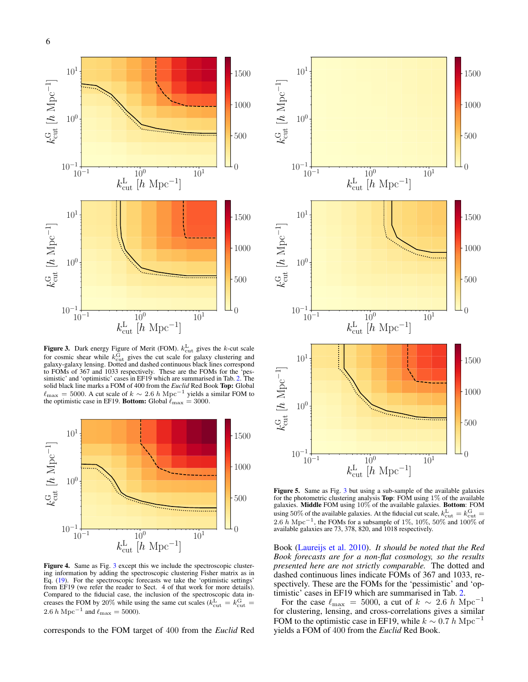

<span id="page-5-0"></span>**Figure 3.** Dark energy Figure of Merit (FOM).  $k_{\text{cut}}^{\text{L}}$  gives the k-cut scale for cosmic shear while  $k_{\text{cut}}^{\text{G}}$  gives the cut scale for galaxy clustering and galaxy-galaxy lensing. Dotted and dashed continuous black lines correspond to FOMs of 367 and 1033 respectively. These are the FOMs for the 'pessimistic' and 'optimistic' cases in EF19 which are summarised in Tab. [2.](#page-6-1) The solid black line marks a FOM of 400 from the *Euclid* Red Book Top: Global  $\ell_{\rm max} = 5000$ . A cut scale of  $k \sim 2.6$  h Mpc<sup>-1</sup> yields a similar FOM to the optimistic case in EF19. Bottom: Global  $\ell_{\text{max}} = 3000$ .



<span id="page-5-1"></span>Figure 4. Same as Fig. [3](#page-5-0) except this we include the spectroscopic clustering information by adding the spectroscopic clustering Fisher matrix as in Eq. [\(19\)](#page-4-4). For the spectroscopic forecasts we take the 'optimistic settings' from EF19 (we refer the reader to Sect. 4 of that work for more details). Compared to the fiducial case, the inclusion of the spectroscopic data increases the FOM by 20% while using the same cut scales ( $k_{\text{cut}}^{\text{L}} = k_{\text{cut}}^{\text{G}}$  = 2.6 *h* Mpc<sup>-1</sup> and  $\ell_{\text{max}} = 5000$ ).

corresponds to the FOM target of 400 from the *Euclid* Red



<span id="page-5-2"></span>Figure 5. Same as Fig. [3](#page-5-0) but using a sub-sample of the available galaxies for the photometric clustering analysis **Top**: FOM using  $1\%$  of the available galaxies. Middle FOM using 10% of the available galaxies. Bottom: FOM using 50% of the available galaxies. At the fiducial cut scale,  $k_{\text{cut}}^{\text{L}} = k_{\text{cut}}^{\text{G}} =$ 2.6 h Mpc<sup>-1</sup>, the FOMs for a subsample of 1%, 10%, 50% and 100% of available galaxies are 73, 378, 820, and 1018 respectively.

Book [\(Laureijs et al.](#page-7-1) [2010\)](#page-7-1). *It should be noted that the Red Book forecasts are for a non-flat cosmology, so the results presented here are not strictly comparable.* The dotted and dashed continuous lines indicate FOMs of 367 and 1033, respectively. These are the FOMs for the 'pessimistic' and 'optimistic' cases in EF19 which are summarised in Tab. [2.](#page-6-1)

For the case  $\ell_{\text{max}} = 5000$ , a cut of  $k \sim 2.6$  h Mpc<sup>-1</sup> for clustering, lensing, and cross-correlations gives a similar FOM to the optimistic case in EF19, while  $k \sim 0.7 h \text{ Mpc}^{-1}$ yields a FOM of 400 from the *Euclid* Red Book.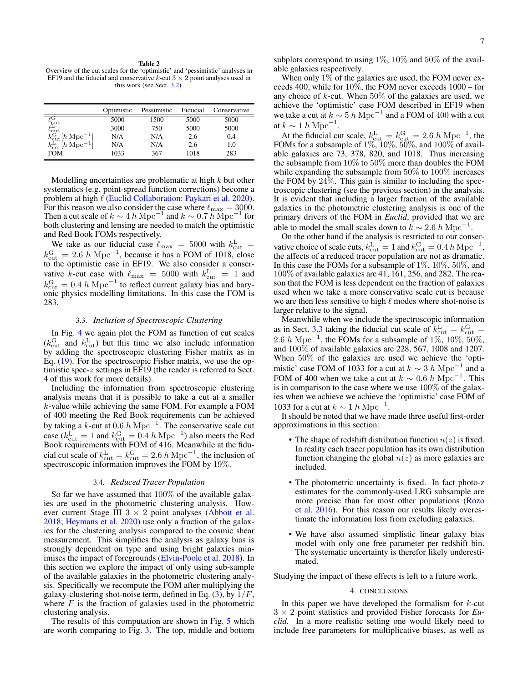<span id="page-6-1"></span>Table 2 Overview of the cut scales for the 'optimistic' and 'pessimistic' analyses in EF19 and the fiducial and conservative k-cut  $3 \times 2$  point analyses used in this work (see Sect. [3.2\)](#page-4-5).

|                                                                                                                                                                                               | Optimistic | Pessimistic | Fiducial | Conservative |
|-----------------------------------------------------------------------------------------------------------------------------------------------------------------------------------------------|------------|-------------|----------|--------------|
| $\begin{array}{l} \ell_{\text{cut}}^{\text{G}} \\ \ell_{\text{cut}}^{\text{L}} \\ k_{\text{cut}}^{\text{G}}[h\ \text{Mpc}^{-1}] \\ k_{\text{cut}}^{\text{L}}[h\ \text{Mpc}^{-1}] \end{array}$ | 5000       | 1500        | 5000     | 5000         |
|                                                                                                                                                                                               | 3000       | 750         | 5000     | 5000         |
|                                                                                                                                                                                               | N/A        | N/A         | 2.6      | 0.4          |
|                                                                                                                                                                                               | N/A        | N/A         | 2.6      | 1.0          |
| <b>FOM</b>                                                                                                                                                                                    | 1033       | 367         | 1018     | 283          |

Modelling uncertainties are problematic at high  $k$  but other systematics (e.g. point-spread function corrections) become a problem at high  $\ell$  [\(Euclid Collaboration: Paykari et al.](#page-7-36) [2020\)](#page-7-36). For this reason we also consider the case where  $\ell_{\text{max}} = 3000$ . Then a cut scale of  $k \sim 4 h \text{ Mpc}^{-1}$  and  $k \sim 0.7 h \text{ Mpc}^{-1}$  for both clustering and lensing are needed to match the optimistic and Red Book FOMs respectively.

We take as our fiducial case  $\ell_{\text{max}} = 5000$  with  $k_{\text{cut}}^{\text{L}} =$  $k_{\text{cut}}^{\text{G}} = 2.6 \ h \text{ Mpc}^{-1}$ , because it has a FOM of 1018, close to the optimistic case in EF19. We also consider a conservative k-cut case with  $\ell_{\text{max}} = 5000$  with  $k_{\text{cut}}^L = 1$  and  $k_{\text{cut}}^{\text{G}} = 0.4 \ h \text{ Mpc}^{-1}$  to reflect current galaxy bias and baryonic physics modelling limitations. In this case the FOM is 283.

## 3.3. *Inclusion of Spectroscopic Clustering*

<span id="page-6-2"></span>In Fig. [4](#page-5-1) we again plot the FOM as function of cut scales  $(k_{\text{cut}}^{\text{G}}$  and  $k_{\text{cut}}^{\text{L}})$  but this time we also include information by adding the spectroscopic clustering Fisher matrix as in Eq. [\(19\)](#page-4-4). For the spectroscopic Fisher matrix, we use the optimistic spec-z settings in EF19 (the reader is referred to Sect. 4 of this work for more details).

Including the information from spectroscopic clustering analysis means that it is possible to take a cut at a smaller k-value while achieving the same FOM. For example a FOM of 400 meeting the Red Book requirements can be achieved by taking a k-cut at 0.6 h Mpc<sup>-1</sup>. The conservative scale cut case ( $k_{\text{cut}}^{\text{L}} = 1$  and  $k_{\text{cut}}^{\text{G}} = 0.4 \ h \text{ Mpc}^{-1}$ ) also meets the Red Book requirements with FOM of 416. Meanwhile at the fiducial cut scale of  $k_{\text{cut}}^{\text{L}} = k_{\text{cut}}^{\text{G}} = 2.6 \ h \text{ Mpc}^{-1}$ , the inclusion of spectroscopic information improves the FOM by 19%.

# 3.4. *Reduced Tracer Population*

So far we have assumed that 100% of the available galaxies are used in the photometric clustering analysis. However current Stage III  $3 \times 2$  point analyses [\(Abbott et al.](#page-7-17) [2018;](#page-7-17) [Heymans et al.](#page-7-14) [2020\)](#page-7-14) use only a fraction of the galaxies for the clustering analysis compared to the cosmic shear measurement. This simplifies the analysis as galaxy bias is strongly dependent on type and using bright galaxies minimises the impact of foregrounds [\(Elvin-Poole et al.](#page-7-18) [2018\)](#page-7-18). In this section we explore the impact of only using sub-sample of the available galaxies in the photometric clustering analysis. Specifically we recompute the FOM after multiplying the galaxy-clustering shot-noise term, defined in Eq.  $(3)$ , by  $1/F$ , where  $F$  is the fraction of galaxies used in the photometric clustering analysis.

The results of this computation are shown in Fig. [5](#page-5-2) which are worth comparing to Fig. [3.](#page-5-0) The top, middle and bottom subplots correspond to using 1%, 10% and 50% of the available galaxies respectively.

When only 1% of the galaxies are used, the FOM never exceeds 400, while for 10%, the FOM never exceeds 1000 – for any choice of  $k$ -cut. When 50% of the galaxies are used, we achieve the 'optimistic' case FOM described in EF19 when we take a cut at  $k \sim 5 h \text{ Mpc}^{-1}$  and a FOM of 400 with a cut at  $k \sim 1 h \text{ Mpc}^{-1}$ .

At the fiducial cut scale,  $k_{\text{cut}}^{\text{L}} = k_{\text{cut}}^{\text{G}} = 2.6 \ h \text{ Mpc}^{-1}$ , the FOMs for a subsample of  $1\%, 10\%, 50\%$ , and  $100\%$  of available galaxies are 73, 378, 820, and 1018. Thus increasing the subsample from  $10\%$  to  $50\%$  more than doubles the FOM while expanding the subsample from 50% to 100% increases the FOM by 24%. This gain is similar to including the spectroscopic clustering (see the previous section) in the analysis. It is evident that including a larger fraction of the available galaxies in the photometric clustering analysis is one of the primary drivers of the FOM in *Euclid*, provided that we are able to model the small scales down to  $k \sim 2.6 h \text{ Mpc}^{-1}$ .

On the other hand if the analysis is restricted to our conservative choice of scale cuts,  $k_{\text{cut}}^{\text{L}} = 1$  and  $k_{\text{cut}}^{\text{G}} = 0.4 h \text{ Mpc}^{-1}$ , the affects of a reduced tracer population are not as dramatic. In this case the FOMs for a subsample of 1%, 10%, 50%, and 100% of available galaxies are 41, 161, 256, and 282. The reason that the FOM is less dependent on the fraction of galaxies used when we take a more conservative scale cut is because we are then less sensitive to high  $\ell$  modes where shot-noise is larger relative to the signal.

Meanwhile when we include the spectroscopic information as in Sect. [3.3](#page-6-2) taking the fiducial cut scale of  $k_{\text{cut}}^{\text{L}} = k_{\text{cut}}^{\text{G}} =$ 2.6 h Mpc<sup>-1</sup>, the FOMs for a subsample of 1%, 10%, 50%, and 100% of available galaxies are 228, 567, 1008 and 1207. When 50% of the galaxies are used we achieve the 'optimistic' case FOM of 1033 for a cut at  $k \sim 3 h \text{ Mpc}^{-1}$  and a FOM of 400 when we take a cut at  $k \sim 0.6 h \text{ Mpc}^{-1}$ . This is in comparison to the case where we use 100% of the galaxies when we achieve we achieve the 'optimistic' case FOM of 1033 for a cut at  $k \sim 1 h \text{ Mpc}^{-1}$ .

It should be noted that we have made three useful first-order approximations in this section:

- The shape of redshift distribution function  $n(z)$  is fixed. In reality each tracer population has its own distribution function changing the global  $n(z)$  as more galaxies are included.
- The photometric uncertainty is fixed. In fact photo-z estimates for the commonly-used LRG subsample are more precise than for most other populations [\(Rozo](#page-7-19) [et al.](#page-7-19) [2016\)](#page-7-19). For this reason our results likely overestimate the information loss from excluding galaxies.
- We have also assumed simplistic linear galaxy bias model with only one free parameter per redshift bin. The systematic uncertainty is therefor likely underestimated.

Studying the impact of these effects is left to a future work.

# 4. CONCLUSIONS

<span id="page-6-0"></span>In this paper we have developed the formalism for  $k$ -cut 3 × 2 point statistics and provided Fisher forecasts for *Euclid*. In a more realistic setting one would likely need to include free parameters for multiplicative biases, as well as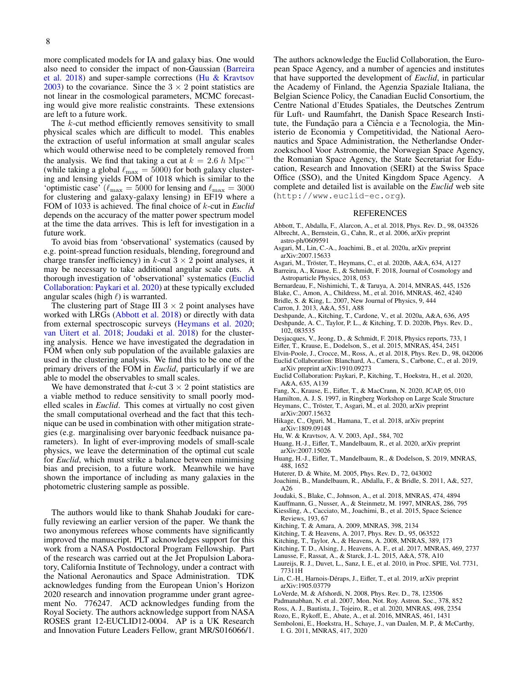more complicated models for IA and galaxy bias. One would also need to consider the impact of non-Gaussian [\(Barreira](#page-7-37) [et al.](#page-7-37) [2018\)](#page-7-37) and super-sample corrections [\(Hu & Kravtsov](#page-7-38) [2003\)](#page-7-38) to the covariance. Since the  $3 \times 2$  point statistics are not linear in the cosmological parameters, MCMC forecasting would give more realistic constraints. These extensions are left to a future work.

The k-cut method efficiently removes sensitivity to small physical scales which are difficult to model. This enables the extraction of useful information at small angular scales which would otherwise need to be completely removed from the analysis. We find that taking a cut at  $k = 2.6 h \text{ Mpc}^{-1}$ (while taking a global  $\ell_{\text{max}} = 5000$ ) for both galaxy clustering and lensing yields FOM of 1018 which is similar to the 'optimistic case' ( $\ell_{\text{max}} = 5000$  for lensing and  $\ell_{\text{max}} = 3000$ for clustering and galaxy-galaxy lensing) in EF19 where a FOM of 1033 is achieved. The final choice of k-cut in *Euclid* depends on the accuracy of the matter power spectrum model at the time the data arrives. This is left for investigation in a future work.

To avoid bias from 'observational' systematics (caused by e.g. point-spread function residuals, blending, foreground and charge transfer inefficiency) in  $k$ -cut  $3 \times 2$  point analyses, it may be necessary to take additional angular scale cuts. A thorough investigation of 'observational' systematics [\(Euclid](#page-7-36) [Collaboration: Paykari et al.](#page-7-36) [2020\)](#page-7-36) at these typically excluded angular scales (high  $\ell$ ) is warranted.

The clustering part of Stage III  $3 \times 2$  point analyses have worked with LRGs [\(Abbott et al.](#page-7-17) [2018\)](#page-7-17) or directly with data from external spectroscopic surveys [\(Heymans et al.](#page-7-14) [2020;](#page-7-14) [van Uitert et al.](#page-8-6) [2018;](#page-8-6) [Joudaki et al.](#page-7-39) [2018\)](#page-7-39) for the clustering analysis. Hence we have investigated the degradation in FOM when only sub population of the available galaxies are used in the clustering analysis. We find this to be one of the primary drivers of the FOM in *Euclid*, particularly if we are able to model the observables to small scales.

We have demonstrated that  $k$ -cut  $3 \times 2$  point statistics are a viable method to reduce sensitivity to small poorly modelled scales in *Euclid*. This comes at virtually no cost given the small computational overhead and the fact that this technique can be used in combination with other mitigation strategies (e.g. marginalising over baryonic feedback nuisance parameters). In light of ever-improving models of small-scale physics, we leave the determination of the optimal cut scale for *Euclid*, which must strike a balance between minimising bias and precision, to a future work. Meanwhile we have shown the importance of including as many galaxies in the photometric clustering sample as possible.

The authors would like to thank Shahab Joudaki for carefully reviewing an earlier version of the paper. We thank the two anonymous referees whose comments have significantly improved the manuscript. PLT acknowledges support for this work from a NASA Postdoctoral Program Fellowship. Part of the research was carried out at the Jet Propulsion Laboratory, California Institute of Technology, under a contract with the National Aeronautics and Space Administration. TDK acknowledges funding from the European Union's Horizon 2020 research and innovation programme under grant agreement No. 776247. ACD acknowledges funding from the Royal Society. The authors acknowledge support from NASA ROSES grant 12-EUCLID12-0004. AP is a UK Research and Innovation Future Leaders Fellow, grant MR/S016066/1.

The authors acknowledge the Euclid Collaboration, the European Space Agency, and a number of agencies and institutes that have supported the development of *Euclid*, in particular the Academy of Finland, the Agenzia Spaziale Italiana, the Belgian Science Policy, the Canadian Euclid Consortium, the Centre National d'Etudes Spatiales, the Deutsches Zentrum für Luft- und Raumfahrt, the Danish Space Research Institute, the Fundação para a Ciência e a Tecnologia, the Ministerio de Economia y Competitividad, the National Aeronautics and Space Administration, the Netherlandse Onderzoekschool Voor Astronomie, the Norwegian Space Agency, the Romanian Space Agency, the State Secretariat for Education, Research and Innovation (SERI) at the Swiss Space Office (SSO), and the United Kingdom Space Agency. A complete and detailed list is available on the *Euclid* web site (http://www.euclid-ec.org).

# REFERENCES

- <span id="page-7-32"></span><span id="page-7-17"></span>Abbott, T., Abdalla, F., Alarcon, A., et al. 2018, Phys. Rev. D., 98, 043526 Albrecht, A., Bernstein, G., Cahn, R., et al. 2006, arXiv preprint astro-ph/0609591
- <span id="page-7-6"></span>Asgari, M., Lin, C.-A., Joachimi, B., et al. 2020a, arXiv preprint arXiv:2007.15633
- <span id="page-7-10"></span>Asgari, M., Tröster, T., Heymans, C., et al. 2020b, A&A, 634, A127
- <span id="page-7-37"></span>Barreira, A., Krause, E., & Schmidt, F. 2018, Journal of Cosmology and Astroparticle Physics, 2018, 053
- <span id="page-7-12"></span>Bernardeau, F., Nishimichi, T., & Taruya, A. 2014, MNRAS, 445, 1526
- <span id="page-7-16"></span>Blake, C., Amon, A., Childress, M., et al. 2016, MNRAS, 462, 4240
- <span id="page-7-27"></span>Bridle, S. & King, L. 2007, New Journal of Physics, 9, 444
- <span id="page-7-34"></span>Carron, J. 2013, A&A, 551, A88
- <span id="page-7-25"></span><span id="page-7-24"></span>Deshpande, A., Kitching, T., Cardone, V., et al. 2020a, A&A, 636, A95 Deshpande, A. C., Taylor, P. L., & Kitching, T. D. 2020b, Phys. Rev. D., 102, 083535
- <span id="page-7-4"></span>Desjacques, V., Jeong, D., & Schmidt, F. 2018, Physics reports, 733, 1
- <span id="page-7-7"></span>Eifler, T., Krause, E., Dodelson, S., et al. 2015, MNRAS, 454, 2451
- <span id="page-7-18"></span>Elvin-Poole, J., Crocce, M., Ross, A., et al. 2018, Phys. Rev. D., 98, 042006
- <span id="page-7-0"></span>Euclid Collaboration: Blanchard, A., Camera, S., Carbone, C., et al. 2019, arXiv preprint arXiv:1910.09273
- <span id="page-7-36"></span>Euclid Collaboration: Paykari, P., Kitching, T., Hoekstra, H., et al. 2020, A&A, 635, A139
- <span id="page-7-30"></span>Fang, X., Krause, E., Eifler, T., & MacCrann, N. 2020, JCAP, 05, 010
- <span id="page-7-28"></span>Hamilton, A. J. S. 1997, in Ringberg Workshop on Large Scale Structure
- <span id="page-7-14"></span>Heymans, C., Tröster, T., Asgari, M., et al. 2020, arXiv preprint arXiv:2007.15632
- <span id="page-7-5"></span>Hikage, C., Oguri, M., Hamana, T., et al. 2018, arXiv preprint arXiv:1809.09148
- <span id="page-7-38"></span>Hu, W. & Kravtsov, A. V. 2003, ApJ., 584, 702
- <span id="page-7-9"></span>Huang, H.-J., Eifler, T., Mandelbaum, R., et al. 2020, arXiv preprint arXiv:2007.15026
- <span id="page-7-8"></span>Huang, H.-J., Eifler, T., Mandelbaum, R., & Dodelson, S. 2019, MNRAS, 488, 1652
- <span id="page-7-13"></span>Huterer, D. & White, M. 2005, Phys. Rev. D., 72, 043002
- <span id="page-7-26"></span>Joachimi, B., Mandelbaum, R., Abdalla, F., & Bridle, S. 2011, A&, 527,
- <span id="page-7-39"></span>A26 Joudaki, S., Blake, C., Johnson, A., et al. 2018, MNRAS, 474, 4894
- <span id="page-7-20"></span>Kauffmann, G., Nusser, A., & Steinmetz, M. 1997, MNRAS, 286, 795
- <span id="page-7-3"></span>Kiessling, A., Cacciato, M., Joachimi, B., et al. 2015, Space Science Reviews, 193, 67
- <span id="page-7-35"></span>Kitching, T. & Amara, A. 2009, MNRAS, 398, 2134
- <span id="page-7-23"></span>Kitching, T. & Heavens, A. 2017, Phys. Rev. D., 95, 063522
- <span id="page-7-31"></span>Kitching, T., Taylor, A., & Heavens, A. 2008, MNRAS, 389, 173
- <span id="page-7-22"></span>Kitching, T. D., Alsing, J., Heavens, A. F., et al. 2017, MNRAS, 469, 2737
- <span id="page-7-11"></span>Lanusse, F., Rassat, A., & Starck, J.-L. 2015, A&A, 578, A10
- <span id="page-7-1"></span>Laureijs, R. J., Duvet, L., Sanz, I. E., et al. 2010, in Proc. SPIE, Vol. 7731, 77311H
- <span id="page-7-33"></span>Lin, C.-H., Harnois-Déraps, J., Eifler, T., et al. 2019, arXiv preprint arXiv:1905.03779
- <span id="page-7-21"></span>LoVerde, M. & Afshordi, N. 2008, Phys. Rev. D., 78, 123506
- <span id="page-7-29"></span>Padmanabhan, N. et al. 2007, Mon. Not. Roy. Astron. Soc., 378, 852
- <span id="page-7-15"></span>Ross, A. J., Bautista, J., Tojeiro, R., et al. 2020, MNRAS, 498, 2354
- <span id="page-7-19"></span>Rozo, E., Rykoff, E., Abate, A., et al. 2016, MNRAS, 461, 1431
- <span id="page-7-2"></span>Semboloni, E., Hoekstra, H., Schaye, J., van Daalen, M. P., & McCarthy, I. G. 2011, MNRAS, 417, 2020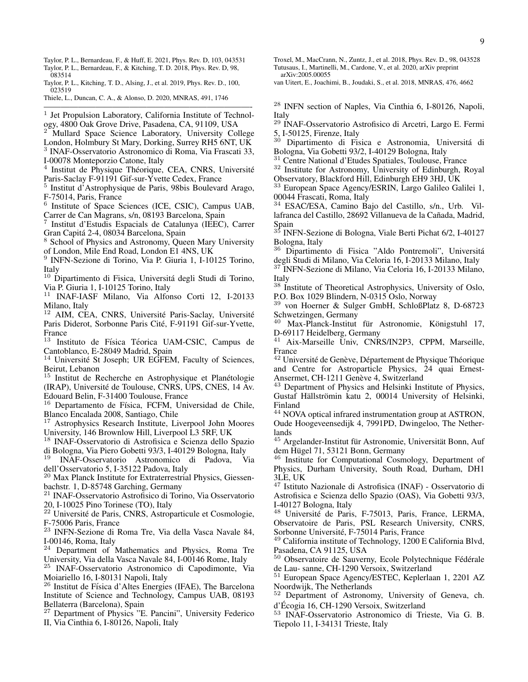- <span id="page-8-3"></span>Taylor, P. L., Bernardeau, F., & Huff, E. 2021, Phys. Rev. D, 103, 043531
- <span id="page-8-2"></span>Taylor, P. L., Bernardeau, F., & Kitching, T. D. 2018, Phys. Rev. D, 98, 083514
- <span id="page-8-5"></span>Taylor, P. L., Kitching, T. D., Alsing, J., et al. 2019, Phys. Rev. D., 100, 023519
- <span id="page-8-4"></span>Thiele, L., Duncan, C. A., & Alonso, D. 2020, MNRAS, 491, 1746 ————————————————————————-

<sup>1</sup> Jet Propulsion Laboratory, California Institute of Technology, 4800 Oak Grove Drive, Pasadena, CA, 91109, USA

Mullard Space Science Laboratory, University College

London, Holmbury St Mary, Dorking, Surrey RH5 6NT, UK 3 INAF-Osservatorio Astronomico di Roma, Via Frascati 33,

I-00078 Monteporzio Catone, Italy

<sup>4</sup> Institut de Physique Théorique, CEA, CNRS, Université Paris-Saclay F-91191 Gif-sur-Yvette Cedex, France

5 Institut d'Astrophysique de Paris, 98bis Boulevard Arago, F-75014, Paris, France

6 Institute of Space Sciences (ICE, CSIC), Campus UAB, Carrer de Can Magrans, s/n, 08193 Barcelona, Spain

7 Institut d'Estudis Espacials de Catalunya (IEEC), Carrer Gran Capita 2-4, 08034 Barcelona, Spain ´

<sup>8</sup> School of Physics and Astronomy, Queen Mary University of London, Mile End Road, London E1 4NS, UK

9 INFN-Sezione di Torino, Via P. Giuria 1, I-10125 Torino, Italy

 $10$  Dipartimento di Fisica, Universitá degli Studi di Torino, Via P. Giuria 1, I-10125 Torino, Italy<br><sup>11</sup> INAE-LASE Milano, Via Alfor

<sup>11</sup> INAF-IASF Milano, Via Alfonso Corti 12, I-20133 Milano, Italy<br> $12$  AIM CF

AIM, CEA, CNRS, Université Paris-Saclay, Université Paris Diderot, Sorbonne Paris Cité, F-91191 Gif-sur-Yvette, France

Instituto de Física Téorica UAM-CSIC, Campus de Cantoblanco, E-28049 Madrid, Spain

<sup>14</sup> Université St Joseph; UR EGFEM, Faculty of Sciences, Beirut, Lebanon

 $15$  Institut de Recherche en Astrophysique et Planétologie (IRAP), Universite de Toulouse, CNRS, UPS, CNES, 14 Av. ´ Edouard Belin, F-31400 Toulouse, France

<sup>16</sup> Departamento de Física, FCFM, Universidad de Chile, Blanco Encalada 2008, Santiago, Chile

<sup>17</sup> Astrophysics Research Institute, Liverpool John Moores University, 146 Brownlow Hill, Liverpool L3 5RF, UK

<sup>18</sup> INAF-Osservatorio di Astrofisica e Scienza dello Spazio di Bologna, Via Piero Gobetti 93/3, I-40129 Bologna, Italy<br><sup>19</sup> INAF-Osservatorio Astronomico di Padova. Via

INAF-Osservatorio Astronomico di Padova, dell'Osservatorio 5, I-35122 Padova, Italy

<sup>20</sup> Max Planck Institute for Extraterrestrial Physics, Giessenbachstr. 1, D-85748 Garching, Germany

<sup>21</sup> INAF-Osservatorio Astrofisico di Torino, Via Osservatorio 20, I-10025 Pino Torinese (TO), Italy

<sup>22</sup> Université de Paris, CNRS, Astroparticule et Cosmologie, F-75006 Paris, France

<sup>23</sup> INFN-Sezione di Roma Tre, Via della Vasca Navale 84, I-00146, Roma, Italy

<sup>24</sup> Department of Mathematics and Physics, Roma Tre University, Via della Vasca Navale 84, I-00146 Rome, Italy

<sup>25</sup> INAF-Osservatorio Astronomico di Capodimonte, Via Moiariello 16, I-80131 Napoli, Italy

 $26$  Institut de Física d'Altes Energies (IFAE), The Barcelona Institute of Science and Technology, Campus UAB, 08193 Bellaterra (Barcelona), Spain

<sup>27</sup> Department of Physics "E. Pancini", University Federico II, Via Cinthia 6, I-80126, Napoli, Italy

<span id="page-8-1"></span><span id="page-8-0"></span>Troxel, M., MacCrann, N., Zuntz, J., et al. 2018, Phys. Rev. D., 98, 043528 Tutusaus, I., Martinelli, M., Cardone, V., et al. 2020, arXiv preprint arXiv:2005.00055

<span id="page-8-6"></span>van Uitert, E., Joachimi, B., Joudaki, S., et al. 2018, MNRAS, 476, 4662

<sup>28</sup> INFN section of Naples, Via Cinthia 6, I-80126, Napoli, Italy

<sup>29</sup> INAF-Osservatorio Astrofisico di Arcetri, Largo E. Fermi 5, I-50125, Firenze, Italy

<sup>30</sup> Dipartimento di Fisica e Astronomia, Universitá di Bologna, Via Gobetti 93/2, I-40129 Bologna, Italy

<sup>31</sup> Centre National d'Etudes Spatiales, Toulouse, France

<sup>32</sup> Institute for Astronomy, University of Edinburgh, Royal Observatory, Blackford Hill, Edinburgh EH9 3HJ, UK

<sup>33</sup> European Space Agency/ESRIN, Largo Galileo Galilei 1, 00044 Frascati, Roma, Italy

<sup>34</sup> ESAC/ESA, Camino Bajo del Castillo, s/n., Urb. Villafranca del Castillo, 28692 Villanueva de la Cañada, Madrid, Spain

<sup>35</sup> INFN-Sezione di Bologna, Viale Berti Pichat 6/2, I-40127 Bologna, Italy

<sup>36</sup> Dipartimento di Fisica "Aldo Pontremoli", Universita´ degli Studi di Milano, Via Celoria 16, I-20133 Milano, Italy

<sup>37</sup> INFN-Sezione di Milano, Via Celoria 16, I-20133 Milano, Italy

<sup>38</sup> Institute of Theoretical Astrophysics, University of Oslo, P.O. Box 1029 Blindern, N-0315 Oslo, Norway

<sup>39</sup> von Hoerner & Sulger GmbH, SchloßPlatz 8, D-68723 Schwetzingen, Germany<br><sup>40</sup> May Planck-Institut

Max-Planck-Institut für Astronomie, Königstuhl 17, D-69117 Heidelberg, Germany

<sup>41</sup> Aix-Marseille Univ, CNRS/IN2P3, CPPM, Marseille, France

<sup>42</sup> Université de Genève, Département de Physique Théorique and Centre for Astroparticle Physics, 24 quai Ernest-Ansermet, CH-1211 Genève 4, Switzerland

<sup>43</sup> Department of Physics and Helsinki Institute of Physics, Gustaf Hällströmin katu 2, 00014 University of Helsinki, Finland

<sup>44</sup> NOVA optical infrared instrumentation group at ASTRON, Oude Hoogeveensedijk 4, 7991PD, Dwingeloo, The Netherlands

<sup>45</sup> Argelander-Institut für Astronomie, Universität Bonn, Auf dem Hügel 71, 53121 Bonn, Germany

<sup>46</sup> Institute for Computational Cosmology, Department of Physics, Durham University, South Road, Durham, DH1 3LE, UK

<sup>47</sup> Istituto Nazionale di Astrofisica (INAF) - Osservatorio di Astrofisica e Scienza dello Spazio (OAS), Via Gobetti 93/3, I-40127 Bologna, Italy

<sup>48</sup> Université de Paris, F-75013, Paris, France, LERMA, Observatoire de Paris, PSL Research University, CNRS, Sorbonne Université, F-75014 Paris, France

<sup>49</sup> California institute of Technology, 1200 E California Blvd, Pasadena, CA 91125, USA

 $50$  Observatoire de Sauverny, Ecole Polytechnique Fédérale de Lau- sanne, CH-1290 Versoix, Switzerland

<sup>51</sup> European Space Agency/ESTEC, Keplerlaan 1, 2201 AZ Noordwijk, The Netherlands

<sup>52</sup> Department of Astronomy, University of Geneva, ch. d'Ecogia 16, CH-1290 Versoix, Switzerland ´

<sup>53</sup> INAF-Osservatorio Astronomico di Trieste, Via G. B. Tiepolo 11, I-34131 Trieste, Italy